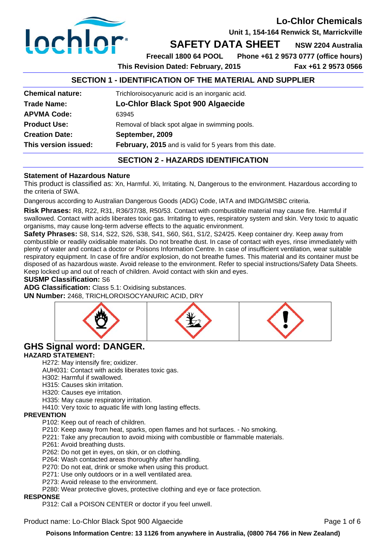

**Unit 1, 154-164 Renwick St, Marrickville** 

## **SAFETY DATA SHEET** NSW 2204 Australia

**Freecall 1800 64 POOL Phone +61 2 9573 0777 (office hours)** 

**This Revision Dated: February, 2015 Fax +61 2 9573 0566** 

### **SECTION 1 - IDENTIFICATION OF THE MATERIAL AND SUPPLIER**

| This version issued:    | February, 2015 and is valid for 5 years from this date. |  |
|-------------------------|---------------------------------------------------------|--|
| <b>Creation Date:</b>   | September, 2009                                         |  |
| <b>Product Use:</b>     | Removal of black spot algae in swimming pools.          |  |
| <b>APVMA Code:</b>      | 63945                                                   |  |
| <b>Trade Name:</b>      | Lo-Chlor Black Spot 900 Algaecide                       |  |
| <b>Chemical nature:</b> | Trichloroisocyanuric acid is an inorganic acid.         |  |
|                         |                                                         |  |

### **SECTION 2 - HAZARDS IDENTIFICATION**

### **Statement of Hazardous Nature**

This product is classified as: Xn, Harmful. Xi, Irritating. N, Dangerous to the environment. Hazardous according to the criteria of SWA.

Dangerous according to Australian Dangerous Goods (ADG) Code, IATA and IMDG/IMSBC criteria.

**Risk Phrases:** R8, R22, R31, R36/37/38, R50/53. Contact with combustible material may cause fire. Harmful if swallowed. Contact with acids liberates toxic gas. Irritating to eyes, respiratory system and skin. Very toxic to aquatic organisms, may cause long-term adverse effects to the aquatic environment.

**Safety Phrases:** S8, S14, S22, S26, S38, S41, S60, S61, S1/2, S24/25. Keep container dry. Keep away from combustible or readily oxidisable materials. Do not breathe dust. In case of contact with eyes, rinse immediately with plenty of water and contact a doctor or Poisons Information Centre. In case of insufficient ventilation, wear suitable respiratory equipment. In case of fire and/or explosion, do not breathe fumes. This material and its container must be disposed of as hazardous waste. Avoid release to the environment. Refer to special instructions/Safety Data Sheets. Keep locked up and out of reach of children. Avoid contact with skin and eyes.

### **SUSMP Classification:** S6

**ADG Classification:** Class 5.1: Oxidising substances. **UN Number:** 2468, TRICHLOROISOCYANURIC ACID, DRY



## **GHS Signal word: DANGER.**

### **HAZARD STATEMENT:**

H272: May intensify fire; oxidizer.

AUH031: Contact with acids liberates toxic gas.

H302: Harmful if swallowed.

- H315: Causes skin irritation.
- H320: Causes eye irritation.

H335: May cause respiratory irritation.

H410: Very toxic to aquatic life with long lasting effects.

### **PREVENTION**

P102: Keep out of reach of children.

P210: Keep away from heat, sparks, open flames and hot surfaces. - No smoking.

- P221: Take any precaution to avoid mixing with combustible or flammable materials.
- P261: Avoid breathing dusts.

P262: Do not get in eyes, on skin, or on clothing.

P264: Wash contacted areas thoroughly after handling.

- P270: Do not eat, drink or smoke when using this product.
- P271: Use only outdoors or in a well ventilated area.
- P273: Avoid release to the environment.

P280: Wear protective gloves, protective clothing and eye or face protection.

### **RESPONSE**

P312: Call a POISON CENTER or doctor if you feel unwell.

Product name: Lo-Chlor Black Spot 900 Algaecide **Product 1996** Page 1 of 6

**Poisons Information Centre: 13 1126 from anywhere in Australia, (0800 764 766 in New Zealand)**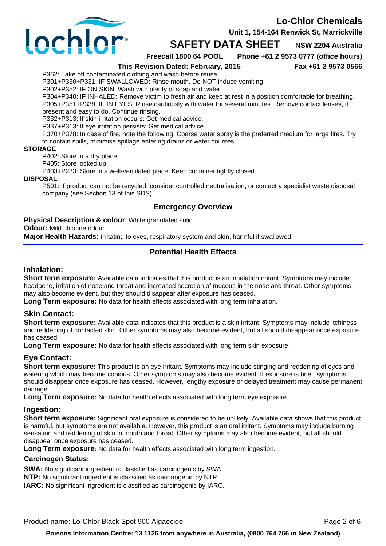**Unit 1, 154-164 Renwick St, Marrickville** 



**SAFETY DATA SHEET** NSW 2204 Australia

**Freecall 1800 64 POOL Phone +61 2 9573 0777 (office hours)** 

**This Revision Dated: February, 2015 Fax +61 2 9573 0566** 

P362: Take off contaminated clothing and wash before reuse.

P301+P330+P331: IF SWALLOWED: Rinse mouth. Do NOT induce vomiting.

P302+P352: IF ON SKIN: Wash with plenty of soap and water.

P304+P340: IF INHALED: Remove victim to fresh air and keep at rest in a position comfortable for breathing. P305+P351+P338: IF IN EYES: Rinse cautiously with water for several minutes. Remove contact lenses, if present and easy to do. Continue rinsing.

P332+P313: If skin irritation occurs: Get medical advice.

P337+P313: If eye irritation persists: Get medical advice.

P370+P378: In case of fire, note the following. Coarse water spray is the preferred medium for large fires. Try to contain spills, minimise spillage entering drains or water courses.

#### **STORAGE**

P402: Store in a dry place.

P405: Store locked up.

P403+P233: Store in a well-ventilated place. Keep container tightly closed.

#### **DISPOSAL**

P501: If product can not be recycled, consider controlled neutralisation, or contact a specialist waste disposal company (see Section 13 of this SDS).

### **Emergency Overview**

**Physical Description & colour**: White granulated solid.

### **Odour:** Mild chlorine odour.

**Major Health Hazards:** irritating to eyes, respiratory system and skin, harmful if swallowed.

### **Potential Health Effects**

### **Inhalation:**

**Short term exposure:** Available data indicates that this product is an inhalation irritant. Symptoms may include headache, irritation of nose and throat and increased secretion of mucous in the nose and throat. Other symptoms may also become evident, but they should disappear after exposure has ceased.

Long Term exposure: No data for health effects associated with long term inhalation.

### **Skin Contact:**

**Short term exposure:** Available data indicates that this product is a skin irritant. Symptoms may include itchiness and reddening of contacted skin. Other symptoms may also become evident, but all should disappear once exposure has ceased.

**Long Term exposure:** No data for health effects associated with long term skin exposure.

### **Eye Contact:**

**Short term exposure:** This product is an eye irritant. Symptoms may include stinging and reddening of eyes and watering which may become copious. Other symptoms may also become evident. If exposure is brief, symptoms should disappear once exposure has ceased. However, lengthy exposure or delayed treatment may cause permanent damage

**Long Term exposure:** No data for health effects associated with long term eye exposure.

### **Ingestion:**

**Short term exposure:** Significant oral exposure is considered to be unlikely. Available data shows that this product is harmful, but symptoms are not available. However, this product is an oral irritant. Symptoms may include burning sensation and reddening of skin in mouth and throat. Other symptoms may also become evident, but all should disappear once exposure has ceased.

**Long Term exposure:** No data for health effects associated with long term ingestion.

### **Carcinogen Status:**

**SWA:** No significant ingredient is classified as carcinogenic by SWA.

**NTP:** No significant ingredient is classified as carcinogenic by NTP.

**IARC:** No significant ingredient is classified as carcinogenic by IARC.

Product name: Lo-Chlor Black Spot 900 Algaecide **Product 100 Algaecide** Page 2 of 6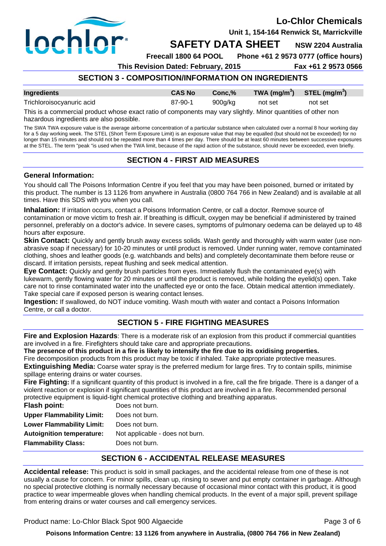

**Unit 1, 154-164 Renwick St, Marrickville** 

**SAFETY DATA SHEET** NSW 2204 Australia

**Freecall 1800 64 POOL Phone +61 2 9573 0777 (office hours)** 

**This Revision Dated: February, 2015 Fax +61 2 9573 0566** 

## **SECTION 3 - COMPOSITION/INFORMATION ON INGREDIENTS**

| Ingredients               | <b>CAS No</b> | Conc.%  | TWA $(mg/m^3)$ STEL $(mg/m^3)$ |         |
|---------------------------|---------------|---------|--------------------------------|---------|
| Trichloroisocyanuric acid | 87-90-1       | 900g/kg | not set                        | not set |

This is a commercial product whose exact ratio of components may vary slightly. Minor quantities of other non hazardous ingredients are also possible.

The SWA TWA exposure value is the average airborne concentration of a particular substance when calculated over a normal 8 hour working day for a 5 day working week. The STEL (Short Term Exposure Limit) is an exposure value that may be equalled (but should not be exceeded) for no longer than 15 minutes and should not be repeated more than 4 times per day. There should be at least 60 minutes between successive exposures at the STEL. The term "peak "is used when the TWA limit, because of the rapid action of the substance, should never be exceeded, even briefly.

### **SECTION 4 - FIRST AID MEASURES**

### **General Information:**

You should call The Poisons Information Centre if you feel that you may have been poisoned, burned or irritated by this product. The number is 13 1126 from anywhere in Australia (0800 764 766 in New Zealand) and is available at all times. Have this SDS with you when you call.

**Inhalation:** If irritation occurs, contact a Poisons Information Centre, or call a doctor. Remove source of contamination or move victim to fresh air. If breathing is difficult, oxygen may be beneficial if administered by trained personnel, preferably on a doctor's advice. In severe cases, symptoms of pulmonary oedema can be delayed up to 48 hours after exposure.

**Skin Contact:** Quickly and gently brush away excess solids. Wash gently and thoroughly with warm water (use nonabrasive soap if necessary) for 10-20 minutes or until product is removed. Under running water, remove contaminated clothing, shoes and leather goods (e.g. watchbands and belts) and completely decontaminate them before reuse or discard. If irritation persists, repeat flushing and seek medical attention.

**Eye Contact:** Quickly and gently brush particles from eyes. Immediately flush the contaminated eye(s) with lukewarm, gently flowing water for 20 minutes or until the product is removed, while holding the eyelid(s) open. Take care not to rinse contaminated water into the unaffected eye or onto the face. Obtain medical attention immediately. Take special care if exposed person is wearing contact lenses.

**Ingestion:** If swallowed, do NOT induce vomiting. Wash mouth with water and contact a Poisons Information Centre, or call a doctor.

## **SECTION 5 - FIRE FIGHTING MEASURES**

**Fire and Explosion Hazards**: There is a moderate risk of an explosion from this product if commercial quantities are involved in a fire. Firefighters should take care and appropriate precautions.

**The presence of this product in a fire is likely to intensify the fire due to its oxidising properties.**

Fire decomposition products from this product may be toxic if inhaled. Take appropriate protective measures. **Extinguishing Media:** Coarse water spray is the preferred medium for large fires. Try to contain spills, minimise

spillage entering drains or water courses.

Fire Fighting: If a significant quantity of this product is involved in a fire, call the fire brigade. There is a danger of a violent reaction or explosion if significant quantities of this product are involved in a fire. Recommended personal protective equipment is liquid-tight chemical protective clothing and breathing apparatus.

| Does not burn.                  |
|---------------------------------|
| Does not burn.                  |
| Does not burn.                  |
| Not applicable - does not burn. |
| Does not burn.                  |
|                                 |

## **SECTION 6 - ACCIDENTAL RELEASE MEASURES**

**Accidental release:** This product is sold in small packages, and the accidental release from one of these is not usually a cause for concern. For minor spills, clean up, rinsing to sewer and put empty container in garbage. Although no special protective clothing is normally necessary because of occasional minor contact with this product, it is good practice to wear impermeable gloves when handling chemical products. In the event of a major spill, prevent spillage from entering drains or water courses and call emergency services.

Product name: Lo-Chlor Black Spot 900 Algaecide **Product 1996** Page 3 of 6

**Poisons Information Centre: 13 1126 from anywhere in Australia, (0800 764 766 in New Zealand)**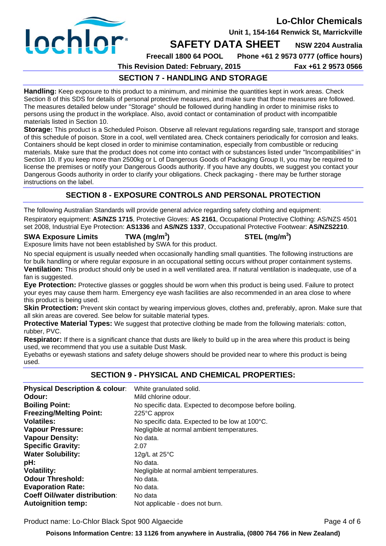

**Unit 1, 154-164 Renwick St, Marrickville** 

### **SAFETY DATA SHEET** NSW 2204 Australia

**Freecall 1800 64 POOL Phone +61 2 9573 0777 (office hours)** 

**This Revision Dated: February, 2015 Fax +61 2 9573 0566** 

## **SECTION 7 - HANDLING AND STORAGE**

**Handling:** Keep exposure to this product to a minimum, and minimise the quantities kept in work areas. Check Section 8 of this SDS for details of personal protective measures, and make sure that those measures are followed. The measures detailed below under "Storage" should be followed during handling in order to minimise risks to persons using the product in the workplace. Also, avoid contact or contamination of product with incompatible materials listed in Section 10.

**Storage:** This product is a Scheduled Poison. Observe all relevant regulations regarding sale, transport and storage of this schedule of poison. Store in a cool, well ventilated area. Check containers periodically for corrosion and leaks. Containers should be kept closed in order to minimise contamination, especially from combustible or reducing materials. Make sure that the product does not come into contact with or substances listed under "Incompatibilities" in Section 10. If you keep more than 2500kg or L of Dangerous Goods of Packaging Group II, you may be required to license the premises or notify your Dangerous Goods authority. If you have any doubts, we suggest you contact your Dangerous Goods authority in order to clarify your obligations. Check packaging - there may be further storage instructions on the label.

## **SECTION 8 - EXPOSURE CONTROLS AND PERSONAL PROTECTION**

The following Australian Standards will provide general advice regarding safety clothing and equipment: Respiratory equipment: **AS/NZS 1715**, Protective Gloves: **AS 2161**, Occupational Protective Clothing: AS/NZS 4501

set 2008, Industrial Eye Protection: **AS1336** and **AS/NZS 1337**, Occupational Protective Footwear: **AS/NZS2210**.

## **SWA Exposure Limits TWA (mg/m<sup>3</sup>**

**) STEL (mg/m<sup>3</sup> )** 

Exposure limits have not been established by SWA for this product.

No special equipment is usually needed when occasionally handling small quantities. The following instructions are for bulk handling or where regular exposure in an occupational setting occurs without proper containment systems. **Ventilation:** This product should only be used in a well ventilated area. If natural ventilation is inadequate, use of a fan is suggested.

**Eye Protection:** Protective glasses or goggles should be worn when this product is being used. Failure to protect your eyes may cause them harm. Emergency eye wash facilities are also recommended in an area close to where this product is being used.

**Skin Protection:** Prevent skin contact by wearing impervious gloves, clothes and, preferably, apron. Make sure that all skin areas are covered. See below for suitable material types.

**Protective Material Types:** We suggest that protective clothing be made from the following materials: cotton, rubber, PVC.

**Respirator:** If there is a significant chance that dusts are likely to build up in the area where this product is being used, we recommend that you use a suitable Dust Mask.

Eyebaths or eyewash stations and safety deluge showers should be provided near to where this product is being used.

### **SECTION 9 - PHYSICAL AND CHEMICAL PROPERTIES:**

| <b>Physical Description &amp; colour:</b> | White granulated solid.                                 |
|-------------------------------------------|---------------------------------------------------------|
| Odour:                                    | Mild chlorine odour.                                    |
| <b>Boiling Point:</b>                     | No specific data. Expected to decompose before boiling. |
| <b>Freezing/Melting Point:</b>            | 225°C approx                                            |
| <b>Volatiles:</b>                         | No specific data. Expected to be low at 100°C.          |
| <b>Vapour Pressure:</b>                   | Negligible at normal ambient temperatures.              |
| <b>Vapour Density:</b>                    | No data.                                                |
| <b>Specific Gravity:</b>                  | 2.07                                                    |
| <b>Water Solubility:</b>                  | 12g/L at $25^{\circ}$ C                                 |
| pH:                                       | No data.                                                |
| <b>Volatility:</b>                        | Negligible at normal ambient temperatures.              |
| <b>Odour Threshold:</b>                   | No data.                                                |
| <b>Evaporation Rate:</b>                  | No data.                                                |
| <b>Coeff Oil/water distribution:</b>      | No data                                                 |
| <b>Autoignition temp:</b>                 | Not applicable - does not burn.                         |

Product name: Lo-Chlor Black Spot 900 Algaecide **Product 1996** Page 4 of 6

**Poisons Information Centre: 13 1126 from anywhere in Australia, (0800 764 766 in New Zealand)**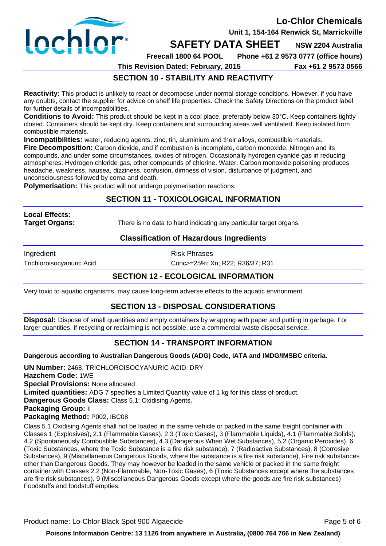

**Unit 1, 154-164 Renwick St, Marrickville** 

## **SAFETY DATA SHEET** NSW 2204 Australia

**Freecall 1800 64 POOL Phone +61 2 9573 0777 (office hours)** 

**This Revision Dated: February, 2015 Fax +61 2 9573 0566** 

## **SECTION 10 - STABILITY AND REACTIVITY**

**Reactivity**: This product is unlikely to react or decompose under normal storage conditions. However, if you have any doubts, contact the supplier for advice on shelf life properties. Check the Safety Directions on the product label for further details of incompatibilities.

**Conditions to Avoid:** This product should be kept in a cool place, preferably below 30°C. Keep containers tightly closed. Containers should be kept dry. Keep containers and surrounding areas well ventilated. Keep isolated from combustible materials.

**Incompatibilities:** water, reducing agents, zinc, tin, aluminium and their alloys, combustible materials. **Fire Decomposition:** Carbon dioxide, and if combustion is incomplete, carbon monoxide. Nitrogen and its compounds, and under some circumstances, oxides of nitrogen. Occasionally hydrogen cyanide gas in reducing atmospheres. Hydrogen chloride gas, other compounds of chlorine. Water. Carbon monoxide poisoning produces headache, weakness, nausea, dizziness, confusion, dimness of vision, disturbance of judgment, and unconsciousness followed by coma and death.

**Polymerisation:** This product will not undergo polymerisation reactions.

### **SECTION 11 - TOXICOLOGICAL INFORMATION**

# **Local Effects:**

**Target Organs:** There is no data to hand indicating any particular target organs.

### **Classification of Hazardous Ingredients**

Ingredient **Risk Phrases** 

Trichloroisocyanuric Acid Conc>=25%: Xn; R22; R36/37; R31

## **SECTION 12 - ECOLOGICAL INFORMATION**

Very toxic to aquatic organisms, may cause long-term adverse effects to the aquatic environment.

### **SECTION 13 - DISPOSAL CONSIDERATIONS**

**Disposal:** Dispose of small quantities and empty containers by wrapping with paper and putting in garbage. For larger quantities, if recycling or reclaiming is not possible, use a commercial waste disposal service.

### **SECTION 14 - TRANSPORT INFORMATION**

**Dangerous according to Australian Dangerous Goods (ADG) Code, IATA and IMDG/IMSBC criteria.**

**UN Number:** 2468, TRICHLOROISOCYANURIC ACID, DRY **Hazchem Code:** 1WE **Special Provisions:** None allocated **Limited quantities:** ADG 7 specifies a Limited Quantity value of 1 kg for this class of product. **Dangerous Goods Class: Class 5.1: Oxidising Agents. Packaging Group:** II **Packaging Method:** P002, IBC08

Class 5.1 Oxidising Agents shall not be loaded in the same vehicle or packed in the same freight container with Classes 1 (Explosives), 2.1 (Flammable Gases), 2.3 (Toxic Gases), 3 (Flammable Liquids), 4.1 (Flammable Solids), 4.2 (Spontaneously Combustible Substances), 4.3 (Dangerous When Wet Substances), 5.2 (Organic Peroxides), 6 (Toxic Substances, where the Toxic Substance is a fire risk substance), 7 (Radioactive Substances), 8 (Corrosive Substances), 9 (Miscellaneous Dangerous Goods, where the substance is a fire risk substance), Fire risk substances other than Dangerous Goods. They may however be loaded in the same vehicle or packed in the same freight container with Classes 2.2 (Non-Flammable, Non-Toxic Gases), 6 (Toxic Substances except where the substances are fire risk substances), 9 (Miscellaneous Dangerous Goods except where the goods are fire risk substances) Foodstuffs and foodstuff empties.

Product name: Lo-Chlor Black Spot 900 Algaecide **Product 10 and 2010** Page 5 of 6